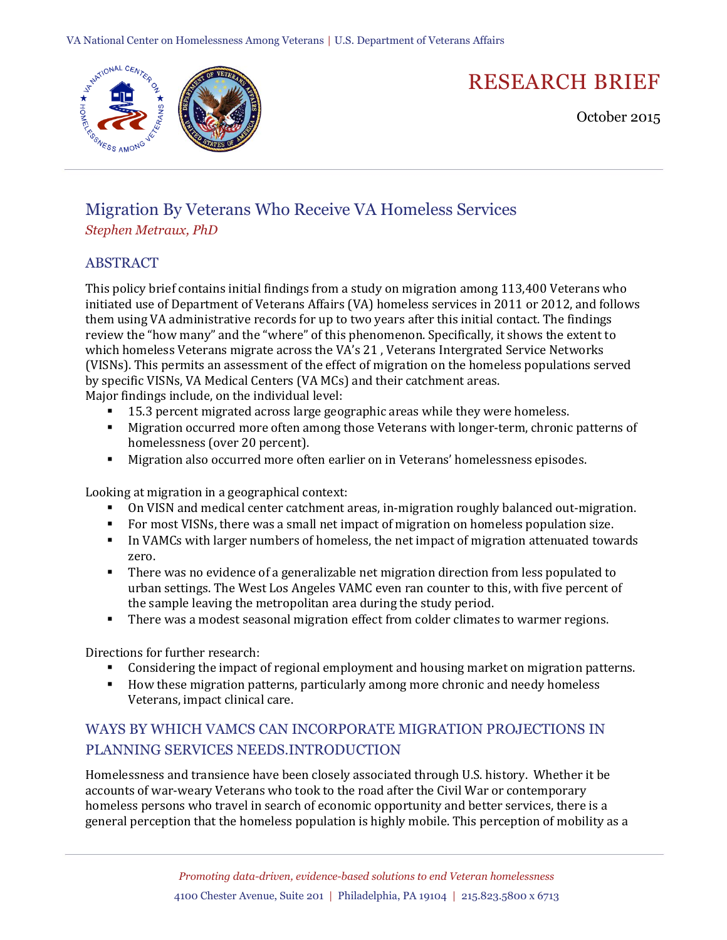

# RESEARCH BRIEF

October 2015

## Migration By Veterans Who Receive VA Homeless Services *Stephen Metraux, PhD*

#### ABSTRACT

This policy brief contains initial findings from a study on migration among 113,400 Veterans who initiated use of Department of Veterans Affairs (VA) homeless services in 2011 or 2012, and follows them using VA administrative records for up to two years after this initial contact. The findings review the "how many" and the "where" of this phenomenon. Specifically, it shows the extent to which homeless Veterans migrate across the VA's 21 , Veterans Intergrated Service Networks (VISNs). This permits an assessment of the effect of migration on the homeless populations served by specific VISNs, VA Medical Centers (VA MCs) and their catchment areas.

Major findings include, on the individual level:

- 15.3 percent migrated across large geographic areas while they were homeless.
- Migration occurred more often among those Veterans with longer-term, chronic patterns of homelessness (over 20 percent).
- Migration also occurred more often earlier on in Veterans' homelessness episodes.

Looking at migration in a geographical context:

- On VISN and medical center catchment areas, in-migration roughly balanced out-migration.
- For most VISNs, there was a small net impact of migration on homeless population size.
- In VAMCs with larger numbers of homeless, the net impact of migration attenuated towards zero.
- There was no evidence of a generalizable net migration direction from less populated to urban settings. The West Los Angeles VAMC even ran counter to this, with five percent of the sample leaving the metropolitan area during the study period.
- There was a modest seasonal migration effect from colder climates to warmer regions.

Directions for further research:

- Considering the impact of regional employment and housing market on migration patterns.
- **How these migration patterns, particularly among more chronic and needy homeless** Veterans, impact clinical care.

### WAYS BY WHICH VAMCS CAN INCORPORATE MIGRATION PROJECTIONS IN PLANNING SERVICES NEEDS.INTRODUCTION

Homelessness and transience have been closely associated through U.S. history. Whether it be accounts of war-weary Veterans who took to the road after the Civil War or contemporary homeless persons who travel in search of economic opportunity and better services, there is a general perception that the homeless population is highly mobile. This perception of mobility as a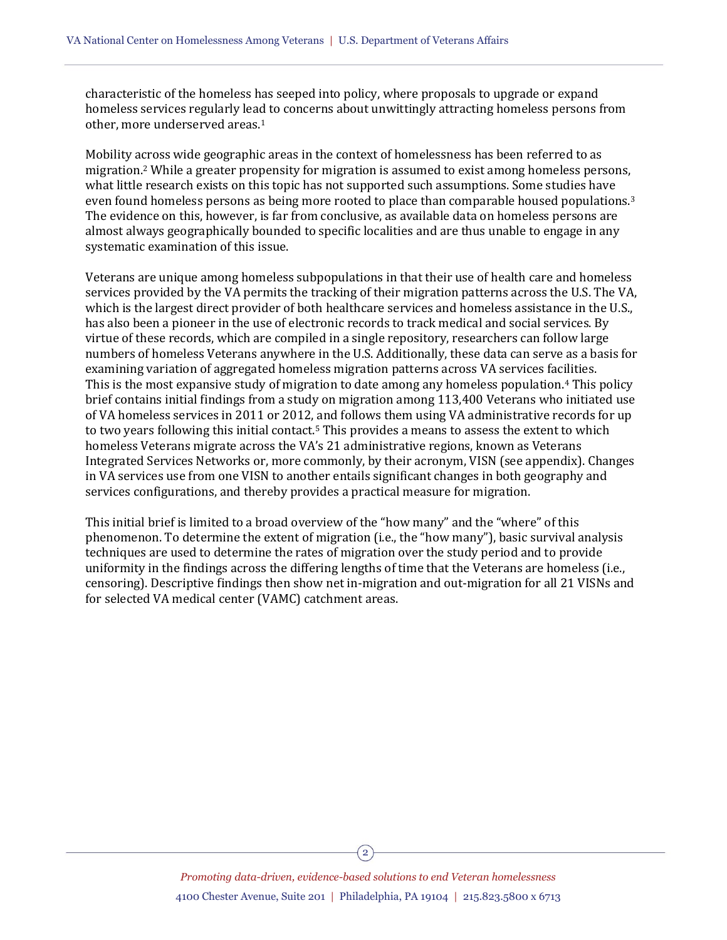characteristic of the homeless has seeped into policy, where proposals to upgrade or expand homeless services regularly lead to concerns about unwittingly attracting homeless persons from other, more underserved areas.<sup>1</sup>

Mobility across wide geographic areas in the context of homelessness has been referred to as migration.<sup>2</sup> While a greater propensity for migration is assumed to exist among homeless persons, what little research exists on this topic has not supported such assumptions. Some studies have even found homeless persons as being more rooted to place than comparable housed populations.<sup>3</sup> The evidence on this, however, is far from conclusive, as available data on homeless persons are almost always geographically bounded to specific localities and are thus unable to engage in any systematic examination of this issue.

Veterans are unique among homeless subpopulations in that their use of health care and homeless services provided by the VA permits the tracking of their migration patterns across the U.S. The VA, which is the largest direct provider of both healthcare services and homeless assistance in the U.S., has also been a pioneer in the use of electronic records to track medical and social services. By virtue of these records, which are compiled in a single repository, researchers can follow large numbers of homeless Veterans anywhere in the U.S. Additionally, these data can serve as a basis for examining variation of aggregated homeless migration patterns across VA services facilities. This is the most expansive study of migration to date among any homeless population.<sup>4</sup> This policy brief contains initial findings from a study on migration among 113,400 Veterans who initiated use of VA homeless services in 2011 or 2012, and follows them using VA administrative records for up to two years following this initial contact.<sup>5</sup> This provides a means to assess the extent to which homeless Veterans migrate across the VA's 21 administrative regions, known as Veterans Integrated Services Networks or, more commonly, by their acronym, VISN (see appendix). Changes in VA services use from one VISN to another entails significant changes in both geography and services configurations, and thereby provides a practical measure for migration.

This initial brief is limited to a broad overview of the "how many" and the "where" of this phenomenon. To determine the extent of migration (i.e., the "how many"), basic survival analysis techniques are used to determine the rates of migration over the study period and to provide uniformity in the findings across the differing lengths of time that the Veterans are homeless (i.e., censoring). Descriptive findings then show net in-migration and out-migration for all 21 VISNs and for selected VA medical center (VAMC) catchment areas.

> *Promoting data-driven, evidence-based solutions to end Veteran homelessness* 4100 Chester Avenue, Suite 201 | Philadelphia, PA 19104 | 215.823.5800 x 6713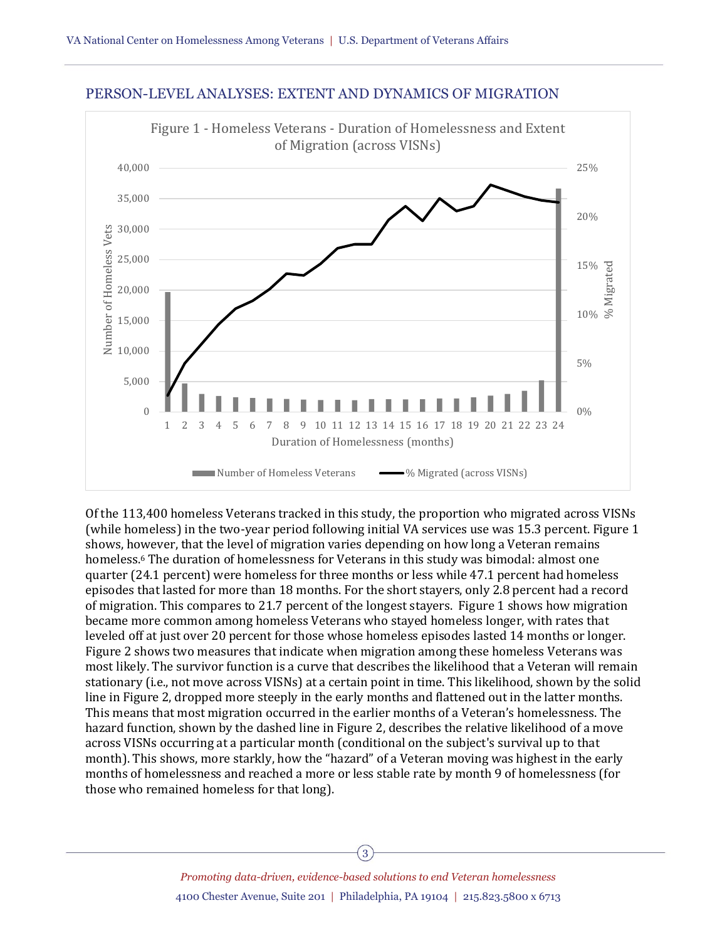



Of the 113,400 homeless Veterans tracked in this study, the proportion who migrated across VISNs (while homeless) in the two-year period following initial VA services use was 15.3 percent. Figure 1 shows, however, that the level of migration varies depending on how long a Veteran remains homeless.<sup>6</sup> The duration of homelessness for Veterans in this study was bimodal: almost one quarter (24.1 percent) were homeless for three months or less while 47.1 percent had homeless episodes that lasted for more than 18 months. For the short stayers, only 2.8 percent had a record of migration. This compares to 21.7 percent of the longest stayers. Figure 1 shows how migration became more common among homeless Veterans who stayed homeless longer, with rates that leveled off at just over 20 percent for those whose homeless episodes lasted 14 months or longer. Figure 2 shows two measures that indicate when migration among these homeless Veterans was most likely. The survivor function is a curve that describes the likelihood that a Veteran will remain stationary (i.e., not move across VISNs) at a certain point in time. This likelihood, shown by the solid line in Figure 2, dropped more steeply in the early months and flattened out in the latter months. This means that most migration occurred in the earlier months of a Veteran's homelessness. The hazard function, shown by the dashed line in Figure 2, describes the relative likelihood of a move across VISNs occurring at a particular month (conditional on the subject's survival up to that month). This shows, more starkly, how the "hazard" of a Veteran moving was highest in the early months of homelessness and reached a more or less stable rate by month 9 of homelessness (for those who remained homeless for that long).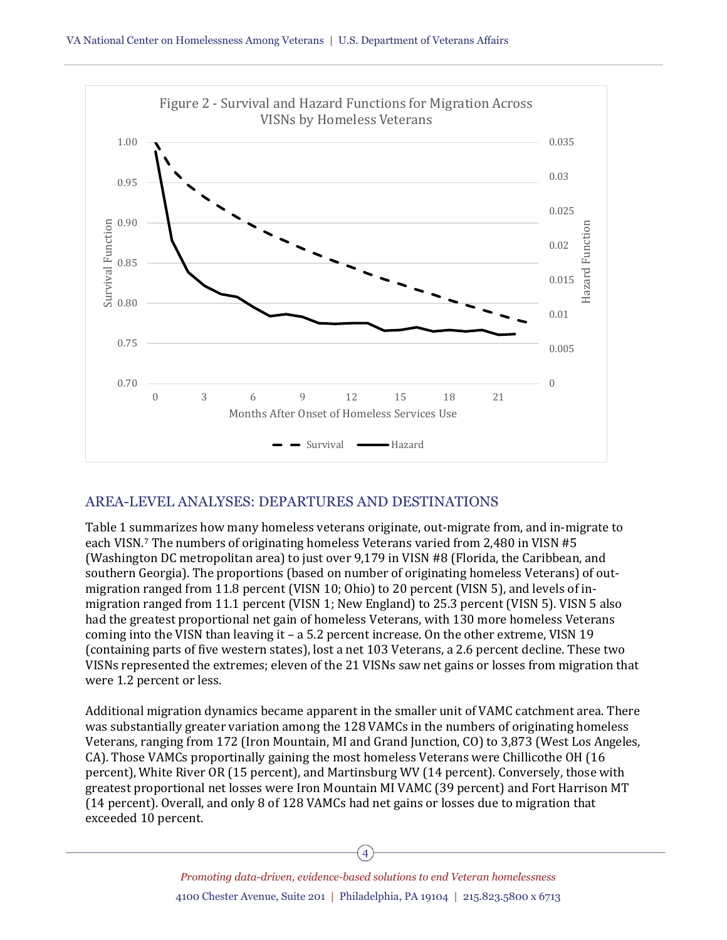

#### AREA-LEVEL ANALYSES: DEPARTURES AND DESTINATIONS

Table 1 summarizes how many homeless veterans originate, out-migrate from, and in-migrate to each VISN.<sup>7</sup> The numbers of originating homeless Veterans varied from 2,480 in VISN #5 (Washington DC metropolitan area) to just over 9,179 in VISN #8 (Florida, the Caribbean, and southern Georgia). The proportions (based on number of originating homeless Veterans) of outmigration ranged from 11.8 percent (VISN 10; Ohio) to 20 percent (VISN 5), and levels of inmigration ranged from 11.1 percent (VISN 1; New England) to 25.3 percent (VISN 5). VISN 5 also had the greatest proportional net gain of homeless Veterans, with 130 more homeless Veterans coming into the VISN than leaving it – a 5.2 percent increase. On the other extreme, VISN 19 (containing parts of five western states), lost a net 103 Veterans, a 2.6 percent decline. These two VISNs represented the extremes; eleven of the 21 VISNs saw net gains or losses from migration that were 1.2 percent or less.

Additional migration dynamics became apparent in the smaller unit of VAMC catchment area. There was substantially greater variation among the 128 VAMCs in the numbers of originating homeless Veterans, ranging from 172 (Iron Mountain, MI and Grand Junction, CO) to 3,873 (West Los Angeles, CA). Those VAMCs proportinally gaining the most homeless Veterans were Chillicothe OH (16 percent), White River OR (15 percent), and Martinsburg WV (14 percent). Conversely, those with greatest proportional net losses were Iron Mountain MI VAMC (39 percent) and Fort Harrison MT (14 percent). Overall, and only 8 of 128 VAMCs had net gains or losses due to migration that exceeded 10 percent.

*Promoting data-driven, evidence-based solutions to end Veteran homelessness* 4100 Chester Avenue, Suite 201 | Philadelphia, PA 19104 | 215.823.5800 x 6713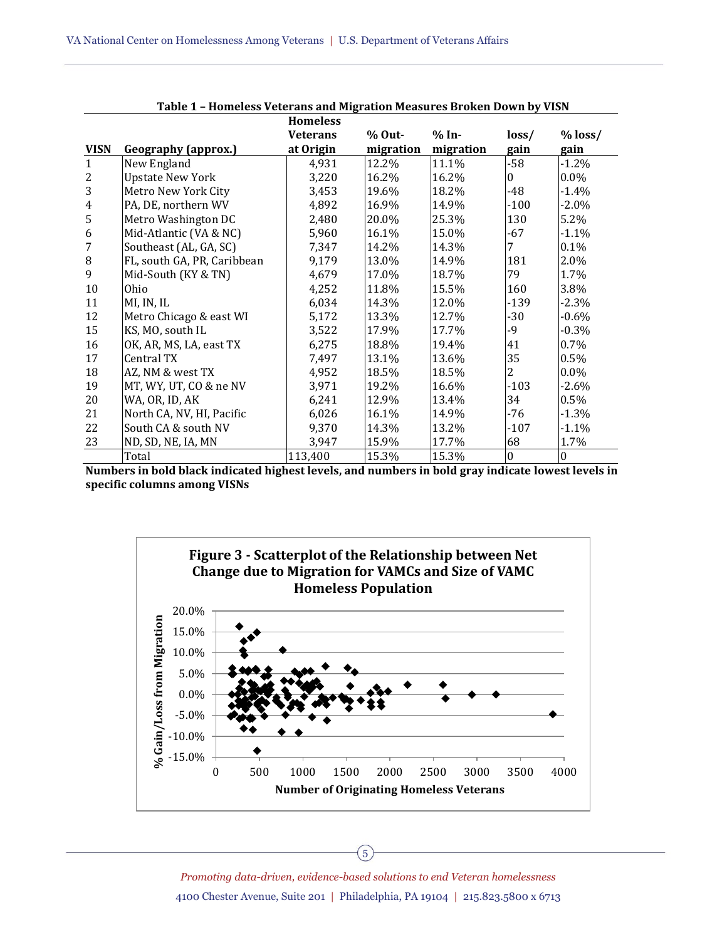|                |                             | <b>Homeless</b> |           |           |          |           |
|----------------|-----------------------------|-----------------|-----------|-----------|----------|-----------|
|                |                             | <b>Veterans</b> | $%$ Out-  | $% In-$   | loss/    | $%$ loss/ |
| <b>VISN</b>    | Geography (approx.)         | at Origin       | migration | migration | gain     | gain      |
| $\mathbf{1}$   | New England                 | 4,931           | 12.2%     | 11.1%     | $-58$    | $-1.2%$   |
| $\overline{2}$ | <b>Upstate New York</b>     | 3,220           | 16.2%     | 16.2%     | $\Omega$ | $0.0\%$   |
| 3              | Metro New York City         | 3,453           | 19.6%     | 18.2%     | -48      | $-1.4\%$  |
| $\overline{4}$ | PA, DE, northern WV         | 4,892           | 16.9%     | 14.9%     | $-100$   | $-2.0\%$  |
| 5              | Metro Washington DC         | 2,480           | 20.0%     | 25.3%     | 130      | 5.2%      |
| 6              | Mid-Atlantic (VA & NC)      | 5,960           | 16.1%     | 15.0%     | -67      | $-1.1\%$  |
| $\overline{7}$ | Southeast (AL, GA, SC)      | 7,347           | 14.2%     | 14.3%     | 7        | 0.1%      |
| $\, 8$         | FL, south GA, PR, Caribbean | 9,179           | 13.0%     | 14.9%     | 181      | 2.0%      |
| 9              | Mid-South (KY & TN)         | 4,679           | 17.0%     | 18.7%     | 79       | 1.7%      |
| 10             | Ohio                        | 4,252           | 11.8%     | 15.5%     | 160      | 3.8%      |
| 11             | MI, IN, IL                  | 6,034           | 14.3%     | 12.0%     | -139     | $-2.3%$   |
| 12             | Metro Chicago & east WI     | 5,172           | 13.3%     | 12.7%     | -30      | $-0.6\%$  |
| 15             | KS, MO, south IL            | 3,522           | 17.9%     | 17.7%     | -9       | $-0.3%$   |
| 16             | OK, AR, MS, LA, east TX     | 6,275           | 18.8%     | 19.4%     | 41       | 0.7%      |
| 17             | Central TX                  | 7,497           | 13.1%     | 13.6%     | 35       | 0.5%      |
| 18             | AZ, NM & west TX            | 4,952           | 18.5%     | 18.5%     | 2        | 0.0%      |
| 19             | MT, WY, UT, CO & ne NV      | 3,971           | 19.2%     | 16.6%     | -103     | $-2.6\%$  |
| 20             | WA, OR, ID, AK              | 6,241           | 12.9%     | 13.4%     | 34       | $0.5\%$   |
| 21             | North CA, NV, HI, Pacific   | 6,026           | 16.1%     | 14.9%     | -76      | $-1.3\%$  |
| 22             | South CA & south NV         | 9,370           | 14.3%     | 13.2%     | -107     | $-1.1%$   |
| 23             | ND, SD, NE, IA, MN          | 3,947           | 15.9%     | 17.7%     | 68       | 1.7%      |
|                | Total                       | 113,400         | 15.3%     | 15.3%     | $\bf{0}$ | $\bf{0}$  |

| Table 1 - Homeless Veterans and Migration Measures Broken Down by VISN |  |  |
|------------------------------------------------------------------------|--|--|
|------------------------------------------------------------------------|--|--|

**Numbers in bold black indicated highest levels, and numbers in bold gray indicate lowest levels in specific columns among VISNs**



*Promoting data-driven, evidence-based solutions to end Veteran homelessness* 4100 Chester Avenue, Suite 201 | Philadelphia, PA 19104 | 215.823.5800 x 6713

5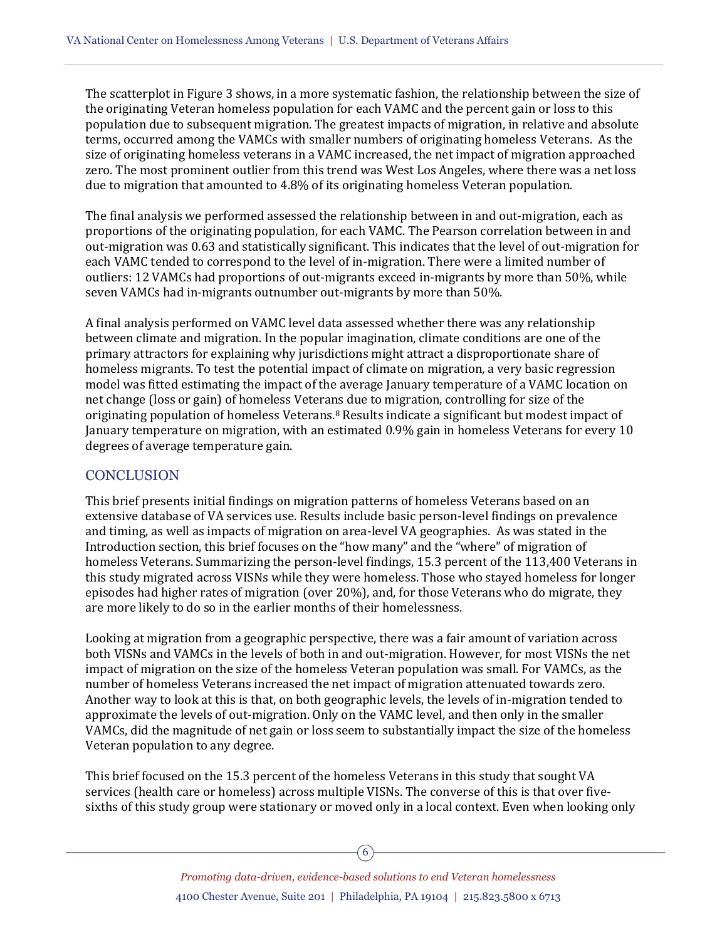The scatterplot in Figure 3 shows, in a more systematic fashion, the relationship between the size of the originating Veteran homeless population for each VAMC and the percent gain or loss to this population due to subsequent migration. The greatest impacts of migration, in relative and absolute terms, occurred among the VAMCs with smaller numbers of originating homeless Veterans. As the size of originating homeless veterans in a VAMC increased, the net impact of migration approached zero. The most prominent outlier from this trend was West Los Angeles, where there was a net loss due to migration that amounted to 4.8% of its originating homeless Veteran population.

The final analysis we performed assessed the relationship between in and out-migration, each as proportions of the originating population, for each VAMC. The Pearson correlation between in and out-migration was 0.63 and statistically significant. This indicates that the level of out-migration for each VAMC tended to correspond to the level of in-migration. There were a limited number of outliers: 12 VAMCs had proportions of out-migrants exceed in-migrants by more than 50%, while seven VAMCs had in-migrants outnumber out-migrants by more than 50%.

A final analysis performed on VAMC level data assessed whether there was any relationship between climate and migration. In the popular imagination, climate conditions are one of the primary attractors for explaining why jurisdictions might attract a disproportionate share of homeless migrants. To test the potential impact of climate on migration, a very basic regression model was fitted estimating the impact of the average January temperature of a VAMC location on net change (loss or gain) of homeless Veterans due to migration, controlling for size of the originating population of homeless Veterans.<sup>8</sup> Results indicate a significant but modest impact of January temperature on migration, with an estimated 0.9% gain in homeless Veterans for every 10 degrees of average temperature gain.

#### **CONCLUSION**

This brief presents initial findings on migration patterns of homeless Veterans based on an extensive database of VA services use. Results include basic person-level findings on prevalence and timing, as well as impacts of migration on area-level VA geographies. As was stated in the Introduction section, this brief focuses on the "how many" and the "where" of migration of homeless Veterans. Summarizing the person-level findings, 15.3 percent of the 113,400 Veterans in this study migrated across VISNs while they were homeless. Those who stayed homeless for longer episodes had higher rates of migration (over 20%), and, for those Veterans who do migrate, they are more likely to do so in the earlier months of their homelessness.

Looking at migration from a geographic perspective, there was a fair amount of variation across both VISNs and VAMCs in the levels of both in and out-migration. However, for most VISNs the net impact of migration on the size of the homeless Veteran population was small. For VAMCs, as the number of homeless Veterans increased the net impact of migration attenuated towards zero. Another way to look at this is that, on both geographic levels, the levels of in-migration tended to approximate the levels of out-migration. Only on the VAMC level, and then only in the smaller VAMCs, did the magnitude of net gain or loss seem to substantially impact the size of the homeless Veteran population to any degree.

This brief focused on the 15.3 percent of the homeless Veterans in this study that sought VA services (health care or homeless) across multiple VISNs. The converse of this is that over fivesixths of this study group were stationary or moved only in a local context. Even when looking only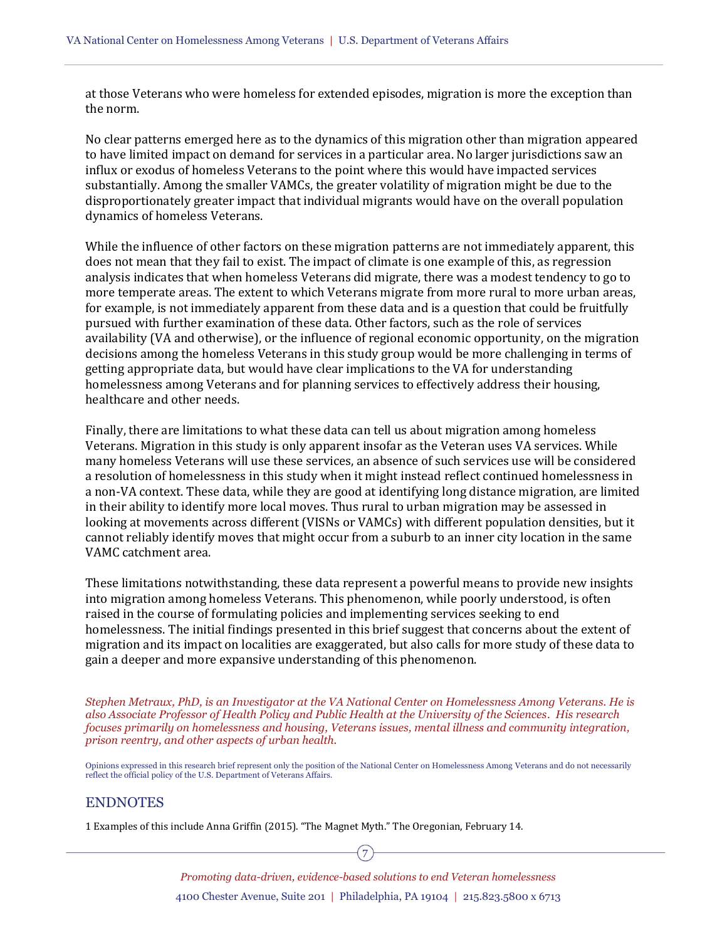at those Veterans who were homeless for extended episodes, migration is more the exception than the norm.

No clear patterns emerged here as to the dynamics of this migration other than migration appeared to have limited impact on demand for services in a particular area. No larger jurisdictions saw an influx or exodus of homeless Veterans to the point where this would have impacted services substantially. Among the smaller VAMCs, the greater volatility of migration might be due to the disproportionately greater impact that individual migrants would have on the overall population dynamics of homeless Veterans.

While the influence of other factors on these migration patterns are not immediately apparent, this does not mean that they fail to exist. The impact of climate is one example of this, as regression analysis indicates that when homeless Veterans did migrate, there was a modest tendency to go to more temperate areas. The extent to which Veterans migrate from more rural to more urban areas, for example, is not immediately apparent from these data and is a question that could be fruitfully pursued with further examination of these data. Other factors, such as the role of services availability (VA and otherwise), or the influence of regional economic opportunity, on the migration decisions among the homeless Veterans in this study group would be more challenging in terms of getting appropriate data, but would have clear implications to the VA for understanding homelessness among Veterans and for planning services to effectively address their housing, healthcare and other needs.

Finally, there are limitations to what these data can tell us about migration among homeless Veterans. Migration in this study is only apparent insofar as the Veteran uses VA services. While many homeless Veterans will use these services, an absence of such services use will be considered a resolution of homelessness in this study when it might instead reflect continued homelessness in a non-VA context. These data, while they are good at identifying long distance migration, are limited in their ability to identify more local moves. Thus rural to urban migration may be assessed in looking at movements across different (VISNs or VAMCs) with different population densities, but it cannot reliably identify moves that might occur from a suburb to an inner city location in the same VAMC catchment area.

These limitations notwithstanding, these data represent a powerful means to provide new insights into migration among homeless Veterans. This phenomenon, while poorly understood, is often raised in the course of formulating policies and implementing services seeking to end homelessness. The initial findings presented in this brief suggest that concerns about the extent of migration and its impact on localities are exaggerated, but also calls for more study of these data to gain a deeper and more expansive understanding of this phenomenon.

*Stephen Metraux, PhD, is an Investigator at the VA National Center on Homelessness Among Veterans. He is also Associate Professor of Health Policy and Public Health at the University of the Sciences. His research focuses primarily on homelessness and housing, Veterans issues, mental illness and community integration, prison reentry, and other aspects of urban health.* 

Opinions expressed in this research brief represent only the position of the National Center on Homelessness Among Veterans and do not necessarily reflect the official policy of the U.S. Department of Veterans Affairs.

#### ENDNOTES

1 Examples of this include Anna Griffin (2015). "The Magnet Myth." The Oregonian, February 14.

7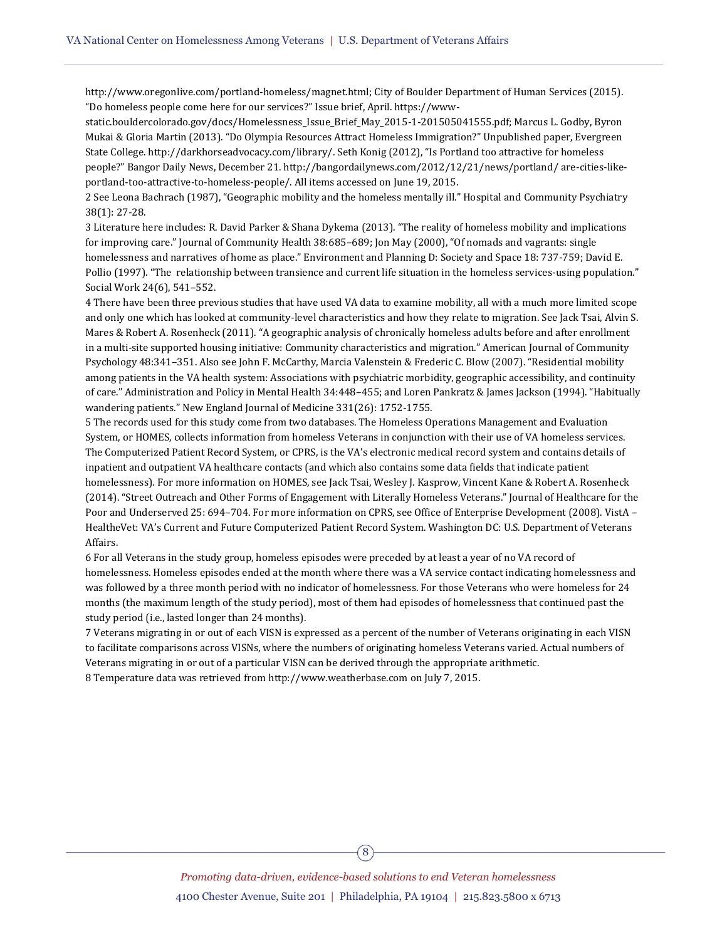http://www.oregonlive.com/portland-homeless/magnet.html; City of Boulder Department of Human Services (2015). "Do homeless people come here for our services?" Issue brief, April. https://www-

static.bouldercolorado.gov/docs/Homelessness\_Issue\_Brief\_May\_2015-1-201505041555.pdf; Marcus L. Godby, Byron Mukai & Gloria Martin (2013). "Do Olympia Resources Attract Homeless Immigration?" Unpublished paper, Evergreen State College. http://darkhorseadvocacy.com/library/. Seth Konig (2012), "Is Portland too attractive for homeless people?" Bangor Daily News, December 21. http://bangordailynews.com/2012/12/21/news/portland/ are-cities-likeportland-too-attractive-to-homeless-people/. All items accessed on June 19, 2015.

2 See Leona Bachrach (1987), "Geographic mobility and the homeless mentally ill." Hospital and Community Psychiatry 38(1): 27-28.

3 Literature here includes: R. David Parker & Shana Dykema (2013). "The reality of homeless mobility and implications for improving care." Journal of Community Health 38:685–689; Jon May (2000), "Of nomads and vagrants: single homelessness and narratives of home as place." Environment and Planning D: Society and Space 18: 737-759; David E. Pollio (1997). "The relationship between transience and current life situation in the homeless services-using population." Social Work 24(6), 541–552.

4 There have been three previous studies that have used VA data to examine mobility, all with a much more limited scope and only one which has looked at community-level characteristics and how they relate to migration. See Jack Tsai, Alvin S. Mares & Robert A. Rosenheck (2011). "A geographic analysis of chronically homeless adults before and after enrollment in a multi-site supported housing initiative: Community characteristics and migration." American Journal of Community Psychology 48:341–351. Also see John F. McCarthy, Marcia Valenstein & Frederic C. Blow (2007). "Residential mobility among patients in the VA health system: Associations with psychiatric morbidity, geographic accessibility, and continuity of care." Administration and Policy in Mental Health 34:448–455; and Loren Pankratz & James Jackson (1994). "Habitually wandering patients." New England Journal of Medicine 331(26): 1752-1755.

5 The records used for this study come from two databases. The Homeless Operations Management and Evaluation System, or HOMES, collects information from homeless Veterans in conjunction with their use of VA homeless services. The Computerized Patient Record System, or CPRS, is the VA's electronic medical record system and contains details of inpatient and outpatient VA healthcare contacts (and which also contains some data fields that indicate patient homelessness). For more information on HOMES, see Jack Tsai, Wesley J. Kasprow, Vincent Kane & Robert A. Rosenheck (2014). "Street Outreach and Other Forms of Engagement with Literally Homeless Veterans." Journal of Healthcare for the Poor and Underserved 25: 694–704. For more information on CPRS, see Office of Enterprise Development (2008). VistA – HealtheVet: VA's Current and Future Computerized Patient Record System. Washington DC: U.S. Department of Veterans Affairs.

6 For all Veterans in the study group, homeless episodes were preceded by at least a year of no VA record of homelessness. Homeless episodes ended at the month where there was a VA service contact indicating homelessness and was followed by a three month period with no indicator of homelessness. For those Veterans who were homeless for 24 months (the maximum length of the study period), most of them had episodes of homelessness that continued past the study period (i.e., lasted longer than 24 months).

7 Veterans migrating in or out of each VISN is expressed as a percent of the number of Veterans originating in each VISN to facilitate comparisons across VISNs, where the numbers of originating homeless Veterans varied. Actual numbers of Veterans migrating in or out of a particular VISN can be derived through the appropriate arithmetic. 8 Temperature data was retrieved fro[m http://www.weatherbase.com](http://www.weatherbase.com/) on July 7, 2015.